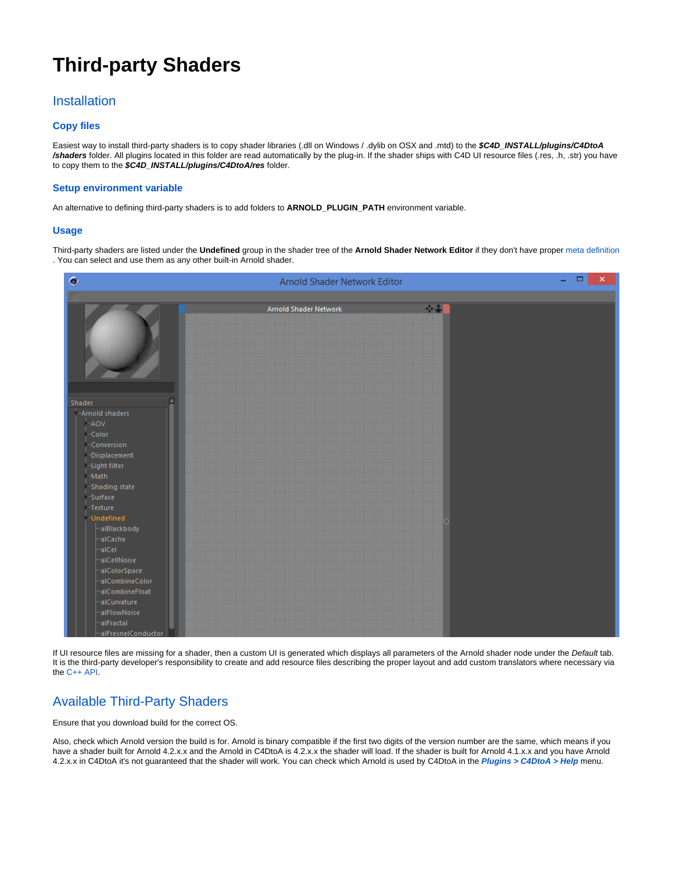# **Third-party Shaders**

## **Installation**

#### **Copy files**

Easiest way to install third-party shaders is to copy shader libraries (.dll on Windows / .dylib on OSX and .mtd) to the **\$C4D\_INSTALL/plugins/C4DtoA /shaders** folder. All plugins located in this folder are read automatically by the plug-in. If the shader ships with C4D UI resource files (.res, .h, .str) you have to copy them to the **\$C4D\_INSTALL/plugins/C4DtoA/res** folder.

#### **Setup environment variable**

An alternative to defining third-party shaders is to add folders to **ARNOLD\_PLUGIN\_PATH** environment variable.

#### **Usage**

Third-party shaders are listed under the **Undefined** group in the shader tree of the **Arnold Shader Network Editor** if they don't have proper [meta definition](https://docs.arnoldrenderer.com/pages/viewpage.action?pageId=119769113) . You can select and use them as any other built-in Arnold shader.



If UI resource files are missing for a shader, then a custom UI is generated which displays all parameters of the Arnold shader node under the Default tab. It is the third-party developer's responsibility to create and add resource files describing the proper layout and add custom translators where necessary via the [C++ API.](https://docs.arnoldrenderer.com/pages/viewpage.action?pageId=119769113)

### Available Third-Party Shaders

Ensure that you download build for the correct OS.

Also, check which Arnold version the build is for. Arnold is binary compatible if the first two digits of the version number are the same, which means if you have a shader built for Arnold 4.2.x.x and the Arnold in C4DtoA is 4.2.x.x the shader will load. If the shader is built for Arnold 4.1.x.x and you have Arnold 4.2.x.x in C4DtoA it's not guaranteed that the shader will work. You can check which Arnold is used by C4DtoA in the **Plugins > C4DtoA > Help** menu.



⋒